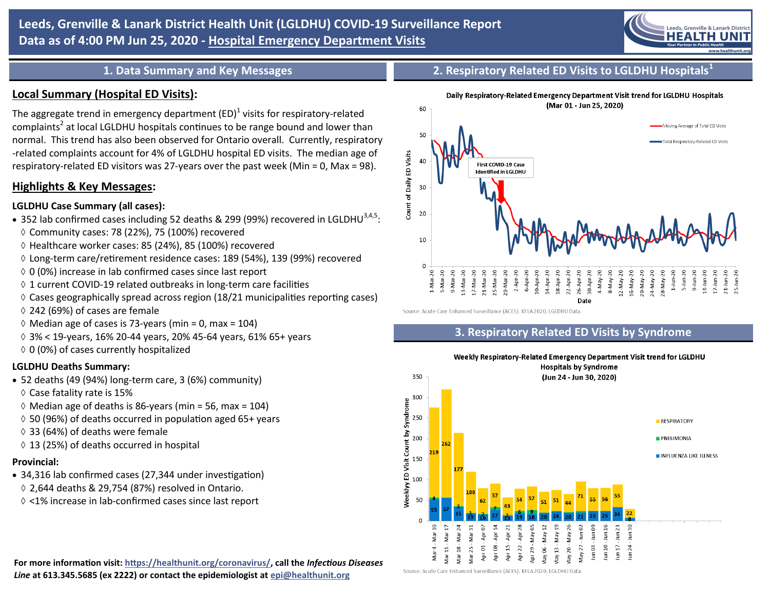

## **1. Data Summary and Key Messages**

## **Local Summary (Hospital ED Visits):**

The aggregate trend in emergency department (ED)<sup>1</sup> visits for respiratory-related  $\text{complex}^2$  at local LGLDHU hospitals continues to be range bound and lower than normal. This trend has also been observed for Ontario overall. Currently, respiratory -related complaints account for 4% of LGLDHU hospital ED visits. The median age of respiratory-related ED visitors was 27-years over the past week (Min = 0, Max = 98).

## **Highlights & Key Messages:**

### **LGLDHU Case Summary (all cases):**

- 352 lab confirmed cases including 52 deaths & 299 (99%) recovered in LGLDHU<sup>3,4,5</sup>:
- $\lozenge$  Community cases: 78 (22%), 75 (100%) recovered
- $\Diamond$  Healthcare worker cases: 85 (24%), 85 (100%) recovered
- $\Diamond$  Long-term care/retirement residence cases: 189 (54%), 139 (99%) recovered
- $0$  (0%) increase in lab confirmed cases since last report
- $\Diamond$  1 current COVID-19 related outbreaks in long-term care facilities
- $\Diamond$  Cases geographically spread across region (18/21 municipalities reporting cases)
- $\lozenge$  242 (69%) of cases are female
- $\Diamond$  Median age of cases is 73-years (min = 0, max = 104)
- 3% < 19-years, 16% 20-44 years, 20% 45-64 years, 61% 65+ years
- $0$  (0%) of cases currently hospitalized

### **LGLDHU Deaths Summary:**

- 52 deaths (49 (94%) long-term care, 3 (6%) community)
	- $\diamond$  Case fatality rate is 15%
	- $\Diamond$  Median age of deaths is 86-years (min = 56, max = 104)
	- $\lozenge$  50 (96%) of deaths occurred in population aged 65+ years
	- 33 (64%) of deaths were female
	- $\lozenge$  13 (25%) of deaths occurred in hospital

### **Provincial:**

- 34,316 lab confirmed cases (27,344 under investigation)
	- $\lozenge$  2,644 deaths & 29,754 (87%) resolved in Ontario.
	- <1% increase in lab-confirmed cases since last report



Source: Acute Care Enhanced Surveillance (ACES). KFLA 2020, LGLDHU Data

# **3. Respiratory Related ED Visits by Syndrome**



Weekly Respiratory-Related Emergency Department Visit trend for LGLDHU

**For more information visit: [https://healthunit.org/coronavirus/,](https://healthunit.org/coronavirus/) call the** *Infectious Diseases Line* **at 613.345.5685 (ex 2222) or contact the epidemiologist at [epi@healthunit.org](mailto:epi@healthunit.org)**

Source: Acute Care Enhanced Surveillance (ACES), KELA 2020, LGLDHU Data

# Daily Respiratory-Related Emergency Department Visit trend for LGLDHU Hospitals

**2. Respiratory Related ED Visits to LGLDHU Hospitals<sup>1</sup>**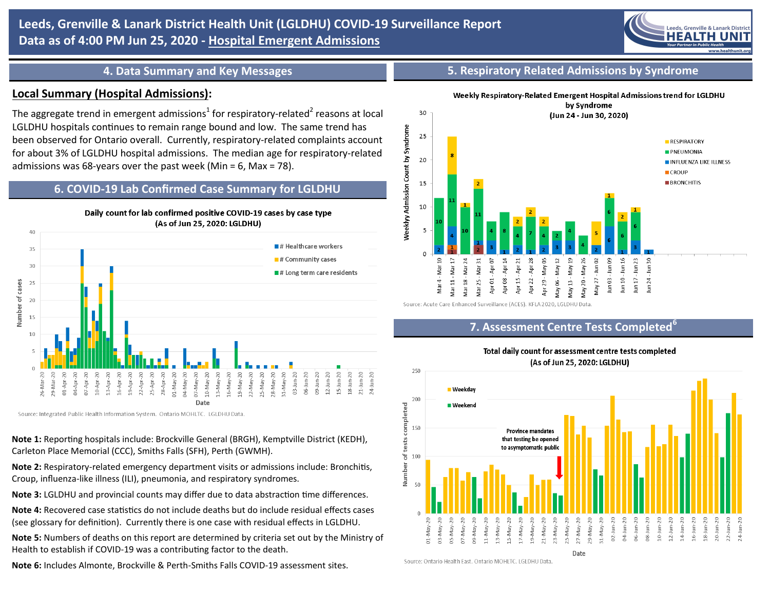

### **4. Data Summary and Key Messages**

# **5. Respiratory Related Admissions by Syndrome**

Weekly Respiratory-Related Emergent Hospital Admissions trend for LGLDHU

# **Local Summary (Hospital Admissions):**

The aggregate trend in emergent admissions<sup>1</sup> for respiratory-related<sup>2</sup> reasons at local LGLDHU hospitals continues to remain range bound and low. The same trend has been observed for Ontario overall. Currently, respiratory-related complaints account for about 3% of LGLDHU hospital admissions. The median age for respiratory-related admissions was 68-years over the past week (Min = 6, Max = 78).

### **6. COVID-19 Lab Confirmed Case Summary for LGLDHU**



Source: Integrated Public Health Information System. Ontario MOHLTC. LGLDHU Data.

**Note 1:** Reporting hospitals include: Brockville General (BRGH), Kemptville District (KEDH), Carleton Place Memorial (CCC), Smiths Falls (SFH), Perth (GWMH).

**Note 2:** Respiratory-related emergency department visits or admissions include: Bronchitis, Croup, influenza-like illness (ILI), pneumonia, and respiratory syndromes.

**Note 3:** LGLDHU and provincial counts may differ due to data abstraction time differences.

**Note 4:** Recovered case statistics do not include deaths but do include residual effects cases (see glossary for definition). Currently there is one case with residual effects in LGLDHU.

**Note 5:** Numbers of deaths on this report are determined by criteria set out by the Ministry of Health to establish if COVID-19 was a contributing factor to the death.

**Note 6:** Includes Almonte, Brockville & Perth-Smiths Falls COVID-19 assessment sites.



Source: Acute Care Enhanced Surveillance (ACES). KFLA 2020, LGLDHU Data

## **7. Assessment Centre Tests Completed<sup>6</sup>**



Total daily count for assessment centre tests completed (As of Jun 25, 2020: LGLDHU)

Source: Ontario Health East, Ontario MOHLTC, LGLDHU Data